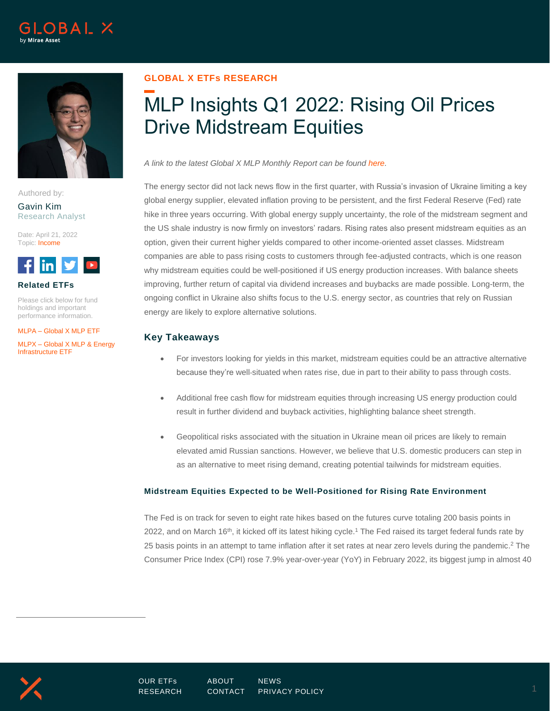



Authored by:

#### Gavin Kim Research Analyst

Date: April 21, 2022 Topic: Income



#### **Related ETFs**

Please click below for fund holdings and important performance information.

MLPA – [Global X MLP ETF](https://www.globalxetfs.com/funds/mlpa/)

MLPX – [Global X MLP & Energy](https://www.globalxetfs.com/funds/mlpx/)  [Infrastructure ETF](https://www.globalxetfs.com/funds/mlpx/)

# **GLOBAL X ETFs RESEARCH**

# MLP Insights Q1 2022: Rising Oil Prices Drive Midstream Equities

*A link to the latest Global X MLP Monthly Report can be found [here.](https://www.globalxetfs.com/content/files/MLP-Report_03.31.2022.pdf)*

The energy sector did not lack news flow in the first quarter, with Russia's invasion of Ukraine limiting a key global energy supplier, elevated inflation proving to be persistent, and the first Federal Reserve (Fed) rate hike in three years occurring. With global energy supply uncertainty, the role of the midstream segment and the US shale industry is now firmly on investors' radars. Rising rates also present midstream equities as an option, given their current higher yields compared to other income-oriented asset classes. Midstream companies are able to pass rising costs to customers through fee-adjusted contracts, which is one reason why midstream equities could be well-positioned if US energy production increases. With balance sheets improving, further return of capital via dividend increases and buybacks are made possible. Long-term, the ongoing conflict in Ukraine also shifts focus to the U.S. energy sector, as countries that rely on Russian energy are likely to explore alternative solutions.

# **Key Takeaways**

- For investors looking for yields in this market, midstream equities could be an attractive alternative because they're well-situated when rates rise, due in part to their ability to pass through costs.
- Additional free cash flow for midstream equities through increasing US energy production could result in further dividend and buyback activities, highlighting balance sheet strength.
- Geopolitical risks associated with the situation in Ukraine mean oil prices are likely to remain elevated amid Russian sanctions. However, we believe that U.S. domestic producers can step in as an alternative to meet rising demand, creating potential tailwinds for midstream equities.

## **Midstream Equities Expected to be Well-Positioned for Rising Rate Environment**

The Fed is on track for seven to eight rate hikes based on the futures curve totaling 200 basis points in 2022, and on March 16<sup>th</sup>, it kicked off its latest hiking cycle.<sup>1</sup> The Fed raised its target federal funds rate by 25 basis points in an attempt to tame inflation after it set rates at near zero levels during the pandemic.<sup>2</sup> The Consumer Price Index (CPI) rose 7.9% year-over-year (YoY) in February 2022, its biggest jump in almost 40

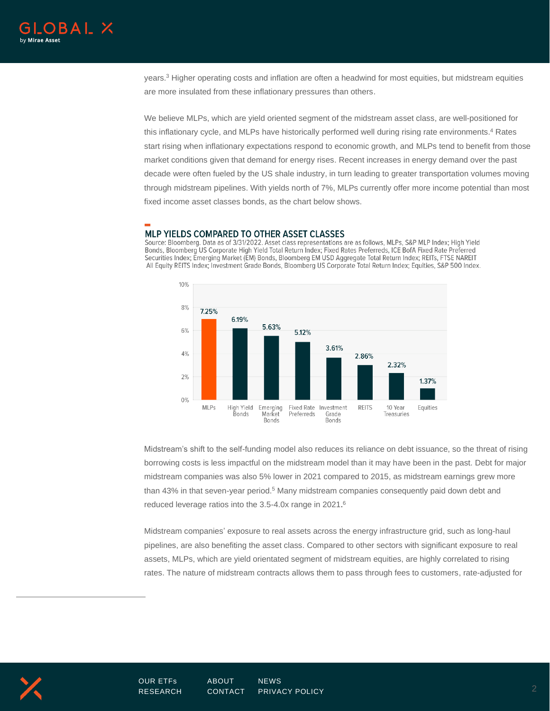

years.<sup>3</sup> Higher operating costs and inflation are often a headwind for most equities, but midstream equities are more insulated from these inflationary pressures than others.

We believe MLPs, which are yield oriented segment of the midstream asset class, are well-positioned for this inflationary cycle, and MLPs have historically performed well during rising rate environments.<sup>4</sup> Rates start rising when inflationary expectations respond to economic growth, and MLPs tend to benefit from those market conditions given that demand for energy rises. Recent increases in energy demand over the past decade were often fueled by the US shale industry, in turn leading to greater transportation volumes moving through midstream pipelines. With yields north of 7%, MLPs currently offer more income potential than most fixed income asset classes bonds, as the chart below shows.

## MLP YIELDS COMPARED TO OTHER ASSET CLASSES

Source: Bloomberg. Data as of 3/31/2022. Asset class representations are as follows, MLPs, S&P MLP Index; High Yield Bonds, Bloomberg US Corporate High Yield Total Return Index; Fixed Rates Preferreds, ICE BofA Fixed Rate Preferred Securities Index; Emerging Market (EM) Bonds, Bloomberg EM USD Aggregate Total Return Index; REITs, FTSE NAREIT All Equity REITS Index; Investment Grade Bonds, Bloomberg US Corporate Total Return Index; Equities, S&P 500 Index.



Midstream's shift to the self-funding model also reduces its reliance on debt issuance, so the threat of rising borrowing costs is less impactful on the midstream model than it may have been in the past. Debt for major midstream companies was also 5% lower in 2021 compared to 2015, as midstream earnings grew more than 43% in that seven-year period.<sup>5</sup> Many midstream companies consequently paid down debt and reduced leverage ratios into the 3.5-4.0x range in 2021. 6

Midstream companies' exposure to real assets across the energy infrastructure grid, such as long-haul pipelines, are also benefiting the asset class. Compared to other sectors with significant exposure to real assets, MLPs, which are yield orientated segment of midstream equities, are highly correlated to rising rates. The nature of midstream contracts allows them to pass through fees to customers, rate-adjusted for

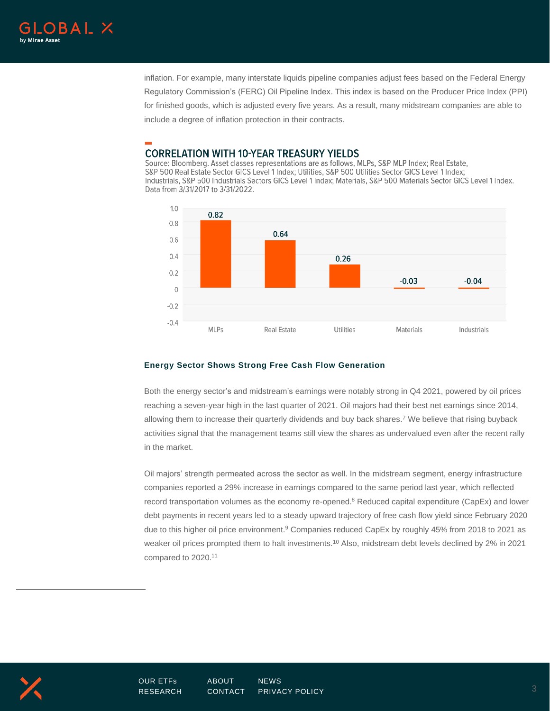

inflation. For example, many interstate liquids pipeline companies adjust fees based on the Federal Energy Regulatory Commission's (FERC) Oil Pipeline Index. This index is based on the Producer Price Index (PPI) for finished goods, which is adjusted every five years. As a result, many midstream companies are able to include a degree of inflation protection in their contracts.

# **CORRELATION WITH 10-YEAR TREASURY YIELDS**

Source: Bloomberg. Asset classes representations are as follows, MLPs, S&P MLP Index; Real Estate, S&P 500 Real Estate Sector GICS Level 1 Index; Utilities, S&P 500 Utilities Sector GICS Level 1 Index; Industrials, S&P 500 Industrials Sectors GICS Level 1 Index: Materials, S&P 500 Materials Sector GICS Level 1 Index. Data from 3/31/2017 to 3/31/2022.



#### **Energy Sector Shows Strong Free Cash Flow Generation**

Both the energy sector's and midstream's earnings were notably strong in Q4 2021, powered by oil prices reaching a seven-year high in the last quarter of 2021. Oil majors had their best net earnings since 2014, allowing them to increase their quarterly dividends and buy back shares.<sup>7</sup> We believe that rising buyback activities signal that the management teams still view the shares as undervalued even after the recent rally in the market.

Oil majors' strength permeated across the sector as well. In the midstream segment, energy infrastructure companies reported a 29% increase in earnings compared to the same period last year, which reflected record transportation volumes as the economy re-opened.<sup>8</sup> Reduced capital expenditure (CapEx) and lower debt payments in recent years led to a steady upward trajectory of free cash flow yield since February 2020 due to this higher oil price environment.<sup>9</sup> Companies reduced CapEx by roughly 45% from 2018 to 2021 as weaker oil prices prompted them to halt investments.<sup>10</sup> Also, midstream debt levels declined by 2% in 2021 compared to 2020. 11

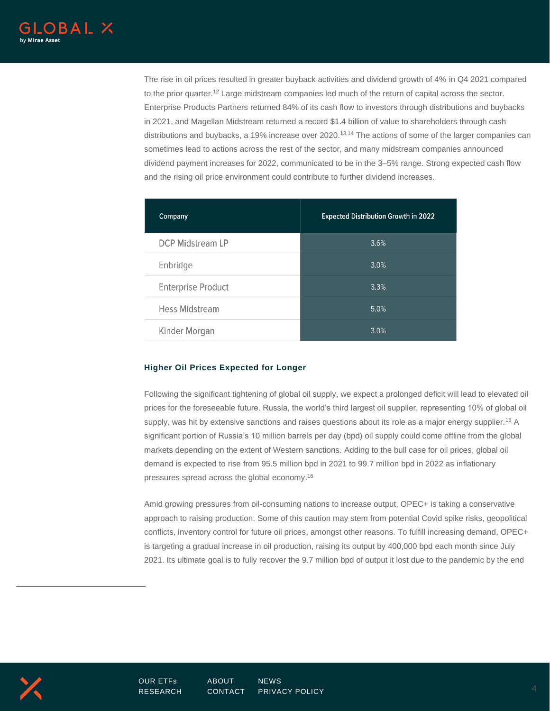The rise in oil prices resulted in greater buyback activities and dividend growth of 4% in Q4 2021 compared to the prior quarter.<sup>12</sup> Large midstream companies led much of the return of capital across the sector. Enterprise Products Partners returned 84% of its cash flow to investors through distributions and buybacks in 2021, and Magellan Midstream returned a record \$1.4 billion of value to shareholders through cash distributions and buybacks, a 19% increase over 2020.<sup>13,14</sup> The actions of some of the larger companies can sometimes lead to actions across the rest of the sector, and many midstream companies announced dividend payment increases for 2022, communicated to be in the 3–5% range. Strong expected cash flow and the rising oil price environment could contribute to further dividend increases.

| Company                   | <b>Expected Distribution Growth in 2022</b> |
|---------------------------|---------------------------------------------|
| <b>DCP Midstream LP</b>   | 3.6%                                        |
| Enbridge                  | 3.0%                                        |
| <b>Enterprise Product</b> | 3.3%                                        |
| Hess Midstream            | 5.0%                                        |
| Kinder Morgan             | 3.0%                                        |

#### **Higher Oil Prices Expected for Longer**

Following the significant tightening of global oil supply, we expect a prolonged deficit will lead to elevated oil prices for the foreseeable future. Russia, the world's third largest oil supplier, representing 10% of global oil supply, was hit by extensive sanctions and raises questions about its role as a major energy supplier.<sup>15</sup> A significant portion of Russia's 10 million barrels per day (bpd) oil supply could come offline from the global markets depending on the extent of Western sanctions. Adding to the bull case for oil prices, global oil demand is expected to rise from 95.5 million bpd in 2021 to 99.7 million bpd in 2022 as inflationary pressures spread across the global economy. 16

Amid growing pressures from oil-consuming nations to increase output, OPEC+ is taking a conservative approach to raising production. Some of this caution may stem from potential Covid spike risks, geopolitical conflicts, inventory control for future oil prices, amongst other reasons. To fulfill increasing demand, OPEC+ is targeting a gradual increase in oil production, raising its output by 400,000 bpd each month since July 2021. Its ultimate goal is to fully recover the 9.7 million bpd of output it lost due to the pandemic by the end

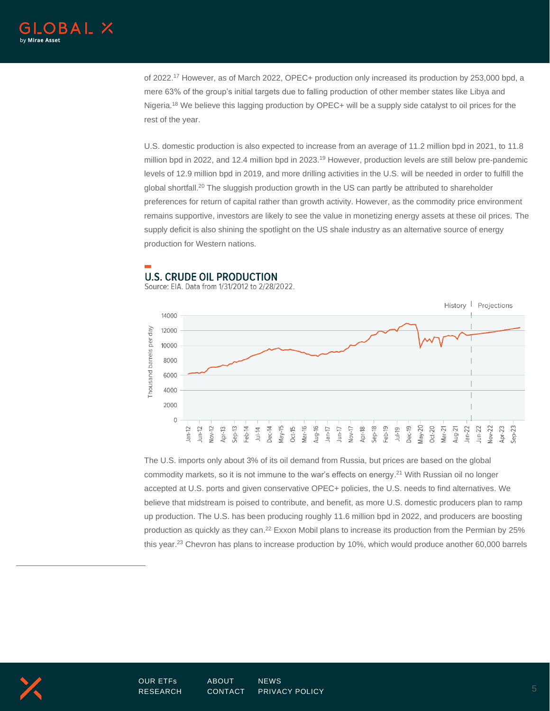

of 2022.<sup>17</sup> However, as of March 2022, OPEC+ production only increased its production by 253,000 bpd, a mere 63% of the group's initial targets due to falling production of other member states like Libya and Nigeria.<sup>18</sup> We believe this lagging production by OPEC+ will be a supply side catalyst to oil prices for the rest of the year.

U.S. domestic production is also expected to increase from an average of 11.2 million bpd in 2021, to 11.8 million bpd in 2022, and 12.4 million bpd in 2023.<sup>19</sup> However, production levels are still below pre-pandemic levels of 12.9 million bpd in 2019, and more drilling activities in the U.S. will be needed in order to fulfill the global shortfall.<sup>20</sup> The sluggish production growth in the US can partly be attributed to shareholder preferences for return of capital rather than growth activity. However, as the commodity price environment remains supportive, investors are likely to see the value in monetizing energy assets at these oil prices. The supply deficit is also shining the spotlight on the US shale industry as an alternative source of energy production for Western nations.

# **U.S. CRUDE OIL PRODUCTION**

Source: EIA. Data from 1/31/2012 to 2/28/2022.



The U.S. imports only about 3% of its oil demand from Russia, but prices are based on the global commodity markets, so it is not immune to the war's effects on energy. <sup>21</sup> With Russian oil no longer accepted at U.S. ports and given conservative OPEC+ policies, the U.S. needs to find alternatives. We believe that midstream is poised to contribute, and benefit, as more U.S. domestic producers plan to ramp up production. The U.S. has been producing roughly 11.6 million bpd in 2022, and producers are boosting production as quickly as they can.<sup>22</sup> Exxon Mobil plans to increase its production from the Permian by 25% this year.<sup>23</sup> Chevron has plans to increase production by 10%, which would produce another 60,000 barrels

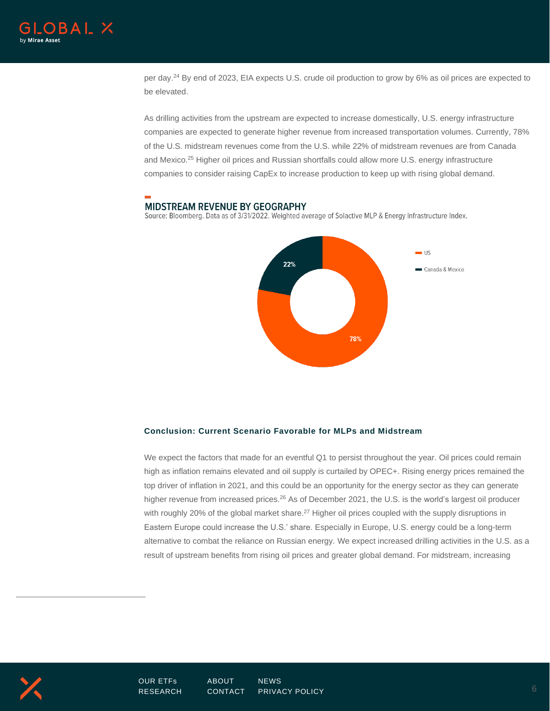

per day.<sup>24</sup> By end of 2023, EIA expects U.S. crude oil production to grow by 6% as oil prices are expected to be elevated.

As drilling activities from the upstream are expected to increase domestically, U.S. energy infrastructure companies are expected to generate higher revenue from increased transportation volumes. Currently, 78% of the U.S. midstream revenues come from the U.S. while 22% of midstream revenues are from Canada and Mexico. <sup>25</sup> Higher oil prices and Russian shortfalls could allow more U.S. energy infrastructure companies to consider raising CapEx to increase production to keep up with rising global demand.

#### **MIDSTREAM REVENUE BY GEOGRAPHY**

Source: Bloomberg. Data as of 3/31/2022. Weighted average of Solactive MLP & Energy Infrastructure Index.



#### **Conclusion: Current Scenario Favorable for MLPs and Midstream**

We expect the factors that made for an eventful Q1 to persist throughout the year. Oil prices could remain high as inflation remains elevated and oil supply is curtailed by OPEC+. Rising energy prices remained the top driver of inflation in 2021, and this could be an opportunity for the energy sector as they can generate higher revenue from increased prices.<sup>26</sup> As of December 2021, the U.S. is the world's largest oil producer with roughly 20% of the global market share.<sup>27</sup> Higher oil prices coupled with the supply disruptions in Eastern Europe could increase the U.S.' share. Especially in Europe, U.S. energy could be a long-term alternative to combat the reliance on Russian energy. We expect increased drilling activities in the U.S. as a result of upstream benefits from rising oil prices and greater global demand. For midstream, increasing

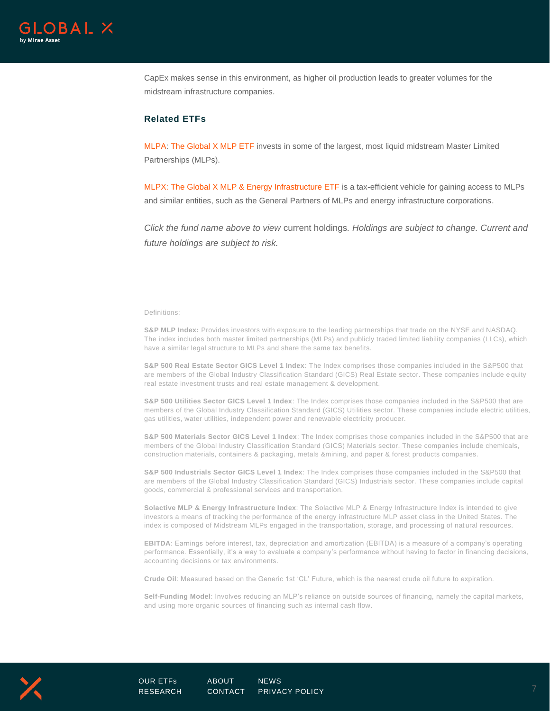

CapEx makes sense in this environment, as higher oil production leads to greater volumes for the midstream infrastructure companies.

#### **Related ETFs**

[MLPA:](https://www.globalxetfs.com/funds/mlpa/) [The Global X MLP ETF](https://www.globalxetfs.com/funds/mlpa/) invests in some of the largest, most liquid midstream Master Limited Partnerships (MLPs).

MLPX: [The Global X MLP & Energy Infrastructure ETF](https://www.globalxetfs.com/funds/mlpx/) is a tax-efficient vehicle for gaining access to MLPs and similar entities, such as the General Partners of MLPs and energy infrastructure corporations.

*Click the fund name above to view* current holdings*. Holdings are subject to change. Current and future holdings are subject to risk.*

Definitions:

**S&P MLP Index:** Provides investors with exposure to the leading partnerships that trade on the NYSE and NASDAQ. The index includes both master limited partnerships (MLPs) and publicly traded limited liability companies (LLCs), which have a similar legal structure to MLPs and share the same tax benefits.

**S&P 500 Real Estate Sector GICS Level 1 Index**: The Index comprises those companies included in the S&P500 that are members of the Global Industry Classification Standard (GICS) Real Estate sector. These companies include e quity real estate investment trusts and real estate management & development.

**S&P 500 Utilities Sector GICS Level 1 Index**: The Index comprises those companies included in the S&P500 that are members of the Global Industry Classification Standard (GICS) Utilities sector. These companies include electric utilities, gas utilities, water utilities, independent power and renewable electricity producer.

**S&P 500 Materials Sector GICS Level 1 Index**: The Index comprises those companies included in the S&P500 that are members of the Global Industry Classification Standard (GICS) Materials sector. These companies include chemicals, construction materials, containers & packaging, metals &mining, and paper & forest products companies.

**S&P 500 Industrials Sector GICS Level 1 Index**: The Index comprises those companies included in the S&P500 that are members of the Global Industry Classification Standard (GICS) Industrials sector. These companies include capital goods, commercial & professional services and transportation.

**Solactive MLP & Energy Infrastructure Index**: The Solactive MLP & Energy Infrastructure Index is intended to give investors a means of tracking the performance of the energy infrastructure MLP asset class in the United States. The index is composed of Midstream MLPs engaged in the transportation, storage, and processing of nat ural resources.

**EBITDA**: Earnings before interest, tax, depreciation and amortization (EBITDA) is a measure of a company's operating performance. Essentially, it's a way to evaluate a company's performance without having to factor in financing decisions, accounting decisions or tax environments.

**Crude Oil**: Measured based on the Generic 1st 'CL' Future, which is the nearest crude oil future to expiration.

**Self-Funding Model**: Involves reducing an MLP's reliance on outside sources of financing, namely the capital markets, and using more organic sources of financing such as internal cash flow.

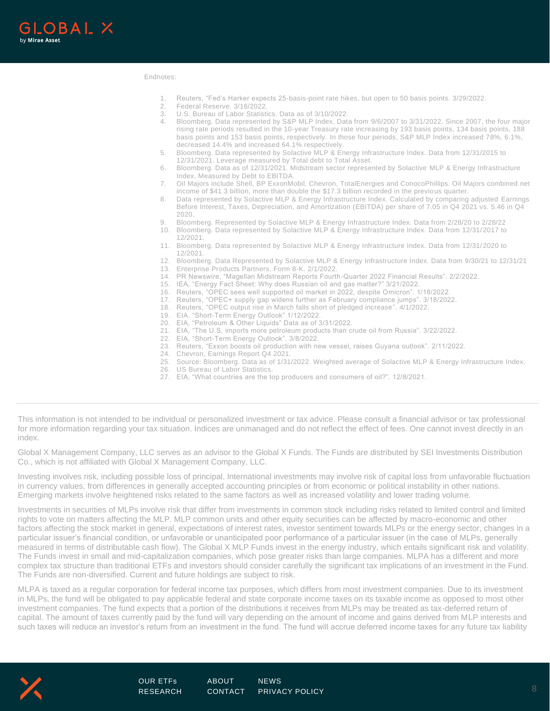

#### Endnotes:

- 1. Reuters, "Fed's Harker expects 25-basis-point rate hikes, but open to 50 basis points. 3/29/2022.
- 
- 2. Federal Reserve. 3/16/2022.<br>3. U.S. Bureau of Labor Statisti<br>4. Bloomberg. Data represente U.S. Bureau of Labor Statistics. Data as of 3/10/2022.
- 4. Bloomberg. Data represented by S&P MLP Index. Data from 9/6/2007 to 3/31/2022. Since 2007, the four major rising rate periods resulted in the 10-year Treasury rate increasing by 193 basis points, 134 basis points, 188 basis points and 153 basis points, respectively. In those four periods, S&P MLP Index increased 78%, 6.1%, decreased 14.4% and increased 64.1% respectively.
- 5. Bloomberg. Data represented by Solactive MLP & Energy Infrastructure Index. Data from 12/31/2015 to 12/31/2021. Leverage measured by Total debt to Total Asset.
- 6. Bloomberg. Data as of 12/31/2021. Midstream sector represented by Solactive MLP & Energy Infrastructure Index. Measured by Debt to EBITDA.
- 7. Oil Majors include Shell, BP ExxonMobil, Chevron, TotalEnergies and ConocoPhillips. Oil Majors combined net income of \$41.3 billion, more than double the \$17.3 billion recorded in the previous quarter.
- Data represented by Solactive MLP & Energy Infrastructure Index. Calculated by comparing adjusted Earnings Before Interest, Taxes, Depreciation, and Amortization (EBITDA) per share of 7.05 in Q4 2021 vs. 5.46 in Q4 2020.
- 9. Bloomberg. Represented by Solactive MLP & Energy Infrastructure Index. Data from 2/28/20 to 2/28/22
- 10. Bloomberg. Data represented by Solactive MLP & Energy Infrastructure Index. Data from 12/31/2017 to 12/2021.
- 11. Bloomberg. Data represented by Solactive MLP & Energy Infrastructure Index. Data from 12/31/2020 to 12/2021.
- 12. Bloomberg. Data Represented by Solactive MLP & Energy Infrastructure Index. Data from 9/30/21 to 12/31/21 13. Enterprise Products Partners, Form 8-K. 2/1/2022.
- 14. PR Newswire, "Magellan Midstream Reports Fourth-Quarter 2022 Financial Results". 2/2/2022.
- 15. IEA, "Energy Fact Sheet: Why does Russian oil and gas matter?" 3/21/2022.
- 16. Reuters, "OPEC sees well supported oil market in 2022, despite Omicron". 1/18/2022.
- 17. Reuters, "OPEC+ supply gap widens further as February compliance jumps". 3/18/2022.
- 18. Reuters, "OPEC output rise in March falls short of pledged increase". 4/1/2022.
- 19. EIA. "Short-Term Energy Outlook" 1/12/2022.
- 20. EIA, "Petroleum & Other Liquids" Data as of 3/31/2022.
- 21. EIA, "The U.S. imports more petroleum products than crude oil from Russia". 3/22/2022.
- 22. EIA, "Short-Term Energy Outlook". 3/8/2022.
- 23. Reuters, "Exxon boosts oil production with new vessel, raises Guyana outlook".  $2/11/2022$ .<br>24. Chevron, Earnings Report Q4.2021.
- Chevron, Earnings Report Q4 2021.
- 25. Source: Bloomberg. Data as of 1/31/2022. Weighted average of Solactive MLP & Energy Infrastructure Index.
- 26. US Bureau of Labor Statistics.
- 27. EIA, "What countries are the top producers and consumers of oil?". 12/8/2021.

This information is not intended to be individual or personalized investment or tax advice. Please consult a financial advisor or tax professional for more information regarding your tax situation. Indices are unmanaged and do not reflect the effect of fees. One cannot invest directly in an index.

Global X Management Company, LLC serves as an advisor to the Global X Funds. The Funds are distributed by SEI Investments Distribution Co., which is not affiliated with Global X Management Company, LLC.

Investing involves risk, including possible loss of principal. International investments may involve risk of capital loss from unfavorable fluctuation in currency values, from differences in generally accepted accounting principles or from economic or political instability in other nations. Emerging markets involve heightened risks related to the same factors as well as increased volatility and lower trading volume.

Investments in securities of MLPs involve risk that differ from investments in common stock including risks related to limited control and limited rights to vote on matters affecting the MLP. MLP common units and other equity securities can be affected by macro-economic and other factors affecting the stock market in general, expectations of interest rates, investor sentiment towards MLPs or the energy sector, changes in a particular issuer's financial condition, or unfavorable or unanticipated poor performance of a particular issuer (in the case of MLPs, generally measured in terms of distributable cash flow). The Global X MLP Funds invest in the energy industry, which entails significant risk and volatility. The Funds invest in small and mid-capitalization companies, which pose greater risks than large companies. MLPA has a different and more complex tax structure than traditional ETFs and investors should consider carefully the significant tax implications of an investment in the Fund. The Funds are non-diversified. Current and future holdings are subject to risk.

MLPA is taxed as a regular corporation for federal income tax purposes, which differs from most investment companies. Due to its investment in MLPs, the fund will be obligated to pay applicable federal and state corporate income taxes on its taxable income as opposed to most other investment companies. The fund expects that a portion of the distributions it receives from MLPs may be treated as tax-deferred return of capital. The amount of taxes currently paid by the fund will vary depending on the amount of income and gains derived from MLP interests and such taxes will reduce an investor's return from an investment in the fund. The fund will accrue deferred income taxes for any future tax liability